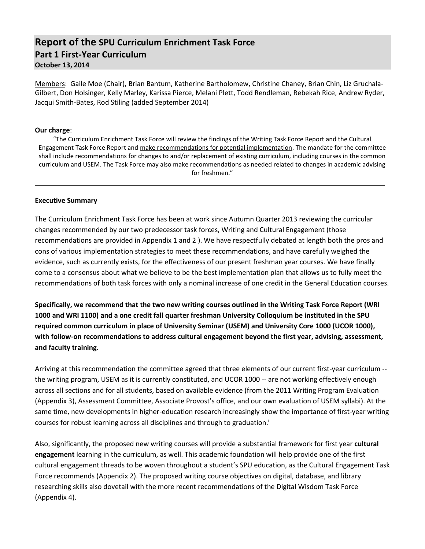# **Report of the SPU Curriculum Enrichment Task Force Part 1 First-Year Curriculum October 13, 2014**

Members: Gaile Moe (Chair), Brian Bantum, Katherine Bartholomew, Christine Chaney, Brian Chin, Liz Gruchala-Gilbert, Don Holsinger, Kelly Marley, Karissa Pierce, Melani Plett, Todd Rendleman, Rebekah Rice, Andrew Ryder, Jacqui Smith-Bates, Rod Stiling (added September 2014)

#### **Our charge**:

"The Curriculum Enrichment Task Force will review the findings of the Writing Task Force Report and the Cultural Engagement Task Force Report and make recommendations for potential implementation. The mandate for the committee shall include recommendations for changes to and/or replacement of existing curriculum, including courses in the common curriculum and USEM. The Task Force may also make recommendations as needed related to changes in academic advising for freshmen."

#### **Executive Summary**

The Curriculum Enrichment Task Force has been at work since Autumn Quarter 2013 reviewing the curricular changes recommended by our two predecessor task forces, Writing and Cultural Engagement (those recommendations are provided in Appendix 1 and 2 ). We have respectfully debated at length both the pros and cons of various implementation strategies to meet these recommendations, and have carefully weighed the evidence, such as currently exists, for the effectiveness of our present freshman year courses. We have finally come to a consensus about what we believe to be the best implementation plan that allows us to fully meet the recommendations of both task forces with only a nominal increase of one credit in the General Education courses.

**Specifically, we recommend that the two new writing courses outlined in the Writing Task Force Report (WRI 1000 and WRI 1100) and a one credit fall quarter freshman University Colloquium be instituted in the SPU required common curriculum in place of University Seminar (USEM) and University Core 1000 (UCOR 1000), with follow-on recommendations to address cultural engagement beyond the first year, advising, assessment, and faculty training.**

Arriving at this recommendation the committee agreed that three elements of our current first-year curriculum - the writing program, USEM as it is currently constituted, and UCOR 1000 -- are not working effectively enough across all sections and for all students, based on available evidence (from the 2011 Writing Program Evaluation (Appendix 3), Assessment Committee, Associate Provost's office, and our own evaluation of USEM syllabi). At the same time, new developments in higher-education research increasingly show the importance of first-year writing courses for robust learning across all disciplines and through to graduation. i

Also, significantly, the proposed new writing courses will provide a substantial framework for first year **cultural engagement** learning in the curriculum, as well. This academic foundation will help provide one of the first cultural engagement threads to be woven throughout a student's SPU education, as the Cultural Engagement Task Force recommends (Appendix 2). The proposed writing course objectives on digital, database, and library researching skills also dovetail with the more recent recommendations of the Digital Wisdom Task Force (Appendix 4).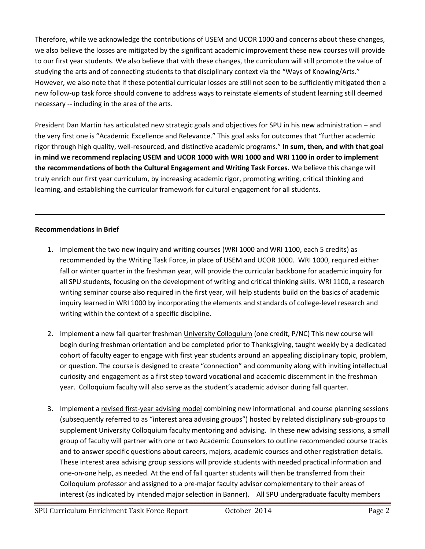Therefore, while we acknowledge the contributions of USEM and UCOR 1000 and concerns about these changes, we also believe the losses are mitigated by the significant academic improvement these new courses will provide to our first year students. We also believe that with these changes, the curriculum will still promote the value of studying the arts and of connecting students to that disciplinary context via the "Ways of Knowing/Arts." However, we also note that if these potential curricular losses are still not seen to be sufficiently mitigated then a new follow-up task force should convene to address ways to reinstate elements of student learning still deemed necessary -- including in the area of the arts.

President Dan Martin has articulated new strategic goals and objectives for SPU in his new administration – and the very first one is "Academic Excellence and Relevance." This goal asks for outcomes that "further academic rigor through high quality, well-resourced, and distinctive academic programs." **In sum, then, and with that goal in mind we recommend replacing USEM and UCOR 1000 with WRI 1000 and WRI 1100 in order to implement the recommendations of both the Cultural Engagement and Writing Task Forces.** We believe this change will truly enrich our first year curriculum, by increasing academic rigor, promoting writing, critical thinking and learning, and establishing the curricular framework for cultural engagement for all students.

## **Recommendations in Brief**

- 1. Implement the two new inquiry and writing courses (WRI 1000 and WRI 1100, each 5 credits) as recommended by the Writing Task Force, in place of USEM and UCOR 1000. WRI 1000, required either fall or winter quarter in the freshman year, will provide the curricular backbone for academic inquiry for all SPU students, focusing on the development of writing and critical thinking skills. WRI 1100, a research writing seminar course also required in the first year, will help students build on the basics of academic inquiry learned in WRI 1000 by incorporating the elements and standards of college-level research and writing within the context of a specific discipline.
- 2. Implement a new fall quarter freshman University Colloquium (one credit, P/NC) This new course will begin during freshman orientation and be completed prior to Thanksgiving, taught weekly by a dedicated cohort of faculty eager to engage with first year students around an appealing disciplinary topic, problem, or question. The course is designed to create "connection" and community along with inviting intellectual curiosity and engagement as a first step toward vocational and academic discernment in the freshman year. Colloquium faculty will also serve as the student's academic advisor during fall quarter.
- 3. Implement a revised first-year advising model combining new informational and course planning sessions (subsequently referred to as "interest area advising groups") hosted by related disciplinary sub-groups to supplement University Colloquium faculty mentoring and advising. In these new advising sessions, a small group of faculty will partner with one or two Academic Counselors to outline recommended course tracks and to answer specific questions about careers, majors, academic courses and other registration details. These interest area advising group sessions will provide students with needed practical information and one-on-one help, as needed. At the end of fall quarter students will then be transferred from their Colloquium professor and assigned to a pre-major faculty advisor complementary to their areas of interest (as indicated by intended major selection in Banner). All SPU undergraduate faculty members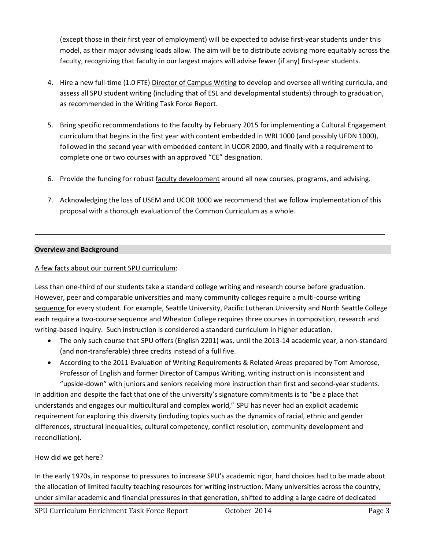(except those in their first year of employment) will be expected to advise first-year students under this model, as their major advising loads allow. The aim will be to distribute advising more equitably across the faculty, recognizing that faculty in our largest majors will advise fewer (if any) first-year students.

- 4. Hire a new full-time (1.0 FTE) Director of Campus Writing to develop and oversee all writing curricula, and assess all SPU student writing (including that of ESL and developmental students) through to graduation, as recommended in the Writing Task Force Report.
- 5. Bring specific recommendations to the faculty by February 2015 for implementing a Cultural Engagement curriculum that begins in the first year with content embedded in WRI 1000 (and possibly UFDN 1000), followed in the second year with embedded content in UCOR 2000, and finally with a requirement to complete one or two courses with an approved "CE" designation.
- 6. Provide the funding for robust faculty development around all new courses, programs, and advising.
- 7. Acknowledging the loss of USEM and UCOR 1000 we recommend that we follow implementation of this proposal with a thorough evaluation of the Common Curriculum as a whole.

### **Overview and Background**

### A few facts about our current SPU curriculum:

Less than one-third of our students take a standard college writing and research course before graduation. However, peer and comparable universities and many community colleges require a multi-course writing sequence for every student. For example, Seattle University, Pacific Lutheran University and North Seattle College each require a two-course sequence and Wheaton College requires three courses in composition, research and writing-based inquiry. Such instruction is considered a standard curriculum in higher education.

- The only such course that SPU offers (English 2201) was, until the 2013-14 academic year, a non-standard (and non-transferable) three credits instead of a full five.
- According to the 2011 Evaluation of Writing Requirements & Related Areas prepared by Tom Amorose, Professor of English and former Director of Campus Writing, writing instruction is inconsistent and "upside-down" with juniors and seniors receiving more instruction than first and second-year students.

In addition and despite the fact that one of the university's signature commitments is to "be a place that understands and engages our multicultural and complex world," SPU has never had an explicit academic requirement for exploring this diversity (including topics such as the dynamics of racial, ethnic and gender differences, structural inequalities, cultural competency, conflict resolution, community development and reconciliation).

#### How did we get here?

In the early 1970s, in response to pressures to increase SPU's academic rigor, hard choices had to be made about the allocation of limited faculty teaching resources for writing instruction. Many universities across the country, under similar academic and financial pressures in that generation, shifted to adding a large cadre of dedicated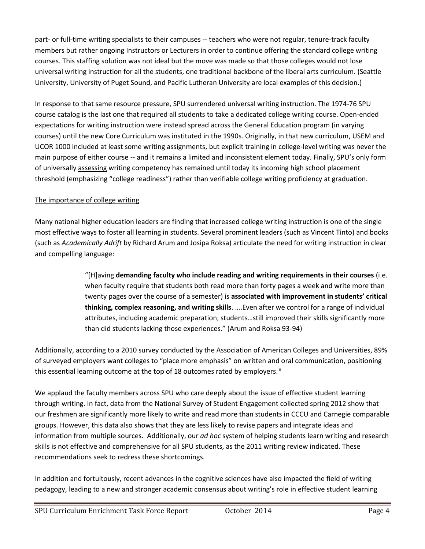part- or full-time writing specialists to their campuses -- teachers who were not regular, tenure-track faculty members but rather ongoing Instructors or Lecturers in order to continue offering the standard college writing courses. This staffing solution was not ideal but the move was made so that those colleges would not lose universal writing instruction for all the students, one traditional backbone of the liberal arts curriculum. (Seattle University, University of Puget Sound, and Pacific Lutheran University are local examples of this decision.)

In response to that same resource pressure, SPU surrendered universal writing instruction. The 1974-76 SPU course catalog is the last one that required all students to take a dedicated college writing course. Open-ended expectations for writing instruction were instead spread across the General Education program (in varying courses) until the new Core Curriculum was instituted in the 1990s. Originally, in that new curriculum, USEM and UCOR 1000 included at least some writing assignments, but explicit training in college-level writing was never the main purpose of either course -- and it remains a limited and inconsistent element today. Finally, SPU's only form of universally assessing writing competency has remained until today its incoming high school placement threshold (emphasizing "college readiness") rather than verifiable college writing proficiency at graduation.

## The importance of college writing

Many national higher education leaders are finding that increased college writing instruction is one of the single most effective ways to foster all learning in students. Several prominent leaders (such as Vincent Tinto) and books (such as *Academically Adrift* by Richard Arum and Josipa Roksa) articulate the need for writing instruction in clear and compelling language:

> "[H]aving **demanding faculty who include reading and writing requirements in their courses** (i.e. when faculty require that students both read more than forty pages a week and write more than twenty pages over the course of a semester) is **associated with improvement in students' critical thinking, complex reasoning, and writing skills**. ….Even after we control for a range of individual attributes, including academic preparation, students…still improved their skills significantly more than did students lacking those experiences." (Arum and Roksa 93-94)

Additionally, according to a 2010 survey conducted by the Association of American Colleges and Universities, 89% of surveyed employers want colleges to "place more emphasis" on written and oral communication, positioning this essential learning outcome at the top of 18 outcomes rated by employers. <sup>ii</sup>

We applaud the faculty members across SPU who care deeply about the issue of effective student learning through writing. In fact, data from the National Survey of Student Engagement collected spring 2012 show that our freshmen are significantly more likely to write and read more than students in CCCU and Carnegie comparable groups. However, this data also shows that they are less likely to revise papers and integrate ideas and information from multiple sources. Additionally, our *ad hoc* system of helping students learn writing and research skills is not effective and comprehensive for all SPU students, as the 2011 writing review indicated. These recommendations seek to redress these shortcomings.

In addition and fortuitously, recent advances in the cognitive sciences have also impacted the field of writing pedagogy, leading to a new and stronger academic consensus about writing's role in effective student learning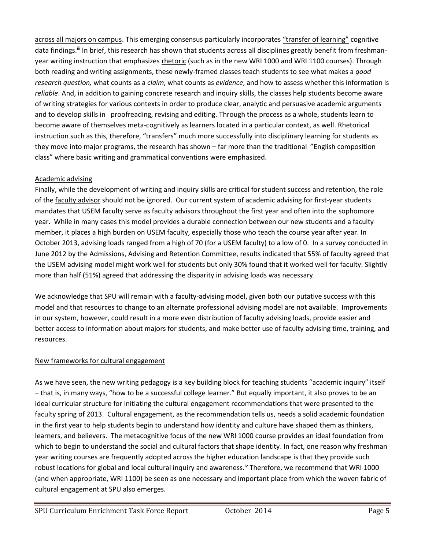across all majors on campus. This emerging consensus particularly incorporates "transfer of learning" cognitive data findings.<sup>iii</sup> In brief, this research has shown that students across all disciplines greatly benefit from freshmanyear writing instruction that emphasizes rhetoric (such as in the new WRI 1000 and WRI 1100 courses). Through both reading and writing assignments, these newly-framed classes teach students to see what makes a *good research question,* what counts as a *claim*, what counts as *evidence*, and how to assess whether this information is *reliable*. And, in addition to gaining concrete research and inquiry skills, the classes help students become aware of writing strategies for various contexts in order to produce clear, analytic and persuasive academic arguments and to develop skills in proofreading, revising and editing. Through the process as a whole, students learn to become aware of themselves meta-cognitively as learners located in a particular context, as well. Rhetorical instruction such as this, therefore, "transfers" much more successfully into disciplinary learning for students as they move into major programs, the research has shown – far more than the traditional "English composition class" where basic writing and grammatical conventions were emphasized.

## Academic advising

Finally, while the development of writing and inquiry skills are critical for student success and retention, the role of the faculty advisor should not be ignored. Our current system of academic advising for first-year students mandates that USEM faculty serve as faculty advisors throughout the first year and often into the sophomore year. While in many cases this model provides a durable connection between our new students and a faculty member, it places a high burden on USEM faculty, especially those who teach the course year after year. In October 2013, advising loads ranged from a high of 70 (for a USEM faculty) to a low of 0. In a survey conducted in June 2012 by the Admissions, Advising and Retention Committee, results indicated that 55% of faculty agreed that the USEM advising model might work well for students but only 30% found that it worked well for faculty. Slightly more than half (51%) agreed that addressing the disparity in advising loads was necessary.

We acknowledge that SPU will remain with a faculty-advising model, given both our putative success with this model and that resources to change to an alternate professional advising model are not available. Improvements in our system, however, could result in a more even distribution of faculty advising loads, provide easier and better access to information about majors for students, and make better use of faculty advising time, training, and resources.

## New frameworks for cultural engagement

As we have seen, the new writing pedagogy is a key building block for teaching students "academic inquiry" itself – that is, in many ways, "how to be a successful college learner." But equally important, it also proves to be an ideal curricular structure for initiating the cultural engagement recommendations that were presented to the faculty spring of 2013. Cultural engagement, as the recommendation tells us, needs a solid academic foundation in the first year to help students begin to understand how identity and culture have shaped them as thinkers, learners, and believers. The metacognitive focus of the new WRI 1000 course provides an ideal foundation from which to begin to understand the social and cultural factors that shape identity. In fact, one reason why freshman year writing courses are frequently adopted across the higher education landscape is that they provide such robust locations for global and local cultural inquiry and awareness.<sup>I</sup> Therefore, we recommend that WRI 1000 (and when appropriate, WRI 1100) be seen as one necessary and important place from which the woven fabric of cultural engagement at SPU also emerges.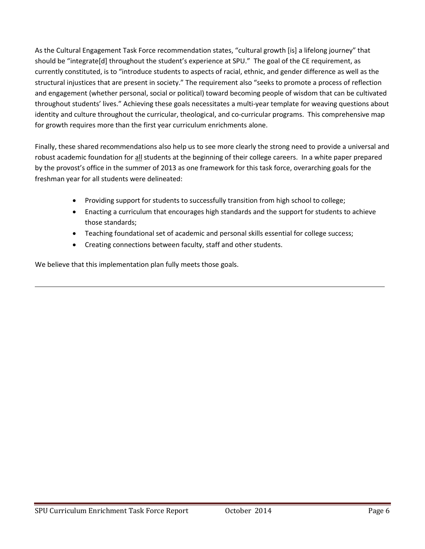As the Cultural Engagement Task Force recommendation states, "cultural growth [is] a lifelong journey" that should be "integrate[d] throughout the student's experience at SPU." The goal of the CE requirement, as currently constituted, is to "introduce students to aspects of racial, ethnic, and gender difference as well as the structural injustices that are present in society." The requirement also "seeks to promote a process of reflection and engagement (whether personal, social or political) toward becoming people of wisdom that can be cultivated throughout students' lives." Achieving these goals necessitates a multi-year template for weaving questions about identity and culture throughout the curricular, theological, and co-curricular programs. This comprehensive map for growth requires more than the first year curriculum enrichments alone.

Finally, these shared recommendations also help us to see more clearly the strong need to provide a universal and robust academic foundation for all students at the beginning of their college careers. In a white paper prepared by the provost's office in the summer of 2013 as one framework for this task force, overarching goals for the freshman year for all students were delineated:

- Providing support for students to successfully transition from high school to college;
- Enacting a curriculum that encourages high standards and the support for students to achieve those standards;
- Teaching foundational set of academic and personal skills essential for college success;
- Creating connections between faculty, staff and other students.

We believe that this implementation plan fully meets those goals.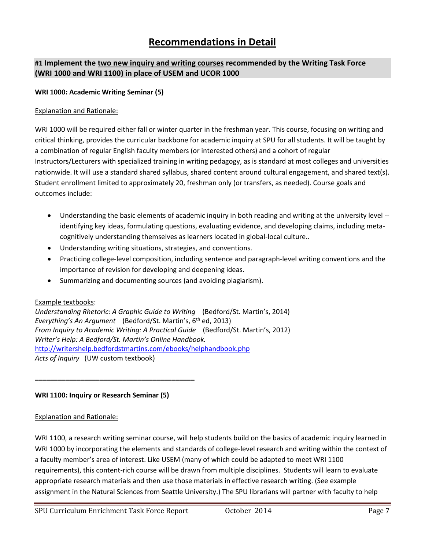# **Recommendations in Detail**

## **#1 Implement the two new inquiry and writing courses recommended by the Writing Task Force (WRI 1000 and WRI 1100) in place of USEM and UCOR 1000**

#### **WRI 1000: Academic Writing Seminar (5)**

#### Explanation and Rationale:

WRI 1000 will be required either fall or winter quarter in the freshman year. This course, focusing on writing and critical thinking, provides the curricular backbone for academic inquiry at SPU for all students. It will be taught by a combination of regular English faculty members (or interested others) and a cohort of regular Instructors/Lecturers with specialized training in writing pedagogy, as is standard at most colleges and universities nationwide. It will use a standard shared syllabus, shared content around cultural engagement, and shared text(s). Student enrollment limited to approximately 20, freshman only (or transfers, as needed). Course goals and outcomes include:

- Understanding the basic elements of academic inquiry in both reading and writing at the university level identifying key ideas, formulating questions, evaluating evidence, and developing claims, including metacognitively understanding themselves as learners located in global-local culture..
- Understanding writing situations, strategies, and conventions.
- Practicing college-level composition, including sentence and paragraph-level writing conventions and the importance of revision for developing and deepening ideas.
- Summarizing and documenting sources (and avoiding plagiarism).

#### Example textbooks:

*Understanding Rhetoric: A Graphic Guide to Writing* (Bedford/St. Martin's, 2014) *Everything's An Argument* (Bedford/St. Martin's, 6<sup>th</sup> ed, 2013) *From Inquiry to Academic Writing: A Practical Guide* (Bedford/St. Martin's, 2012) *Writer's Help: A Bedford/St. Martin's Online Handbook.* <http://writershelp.bedfordstmartins.com/ebooks/helphandbook.php> *Acts of Inquiry* (UW custom textbook)

#### **WRI 1100: Inquiry or Research Seminar (5)**

**\_\_\_\_\_\_\_\_\_\_\_\_\_\_\_\_\_\_\_\_\_\_\_\_\_\_\_\_\_\_\_\_\_\_\_\_\_\_\_\_\_\_**

#### Explanation and Rationale:

WRI 1100, a research writing seminar course, will help students build on the basics of academic inquiry learned in WRI 1000 by incorporating the elements and standards of college-level research and writing within the context of a faculty member's area of interest. Like USEM (many of which could be adapted to meet WRI 1100 requirements), this content-rich course will be drawn from multiple disciplines. Students will learn to evaluate appropriate research materials and then use those materials in effective research writing. (See example assignment in the Natural Sciences from Seattle University.) The SPU librarians will partner with faculty to help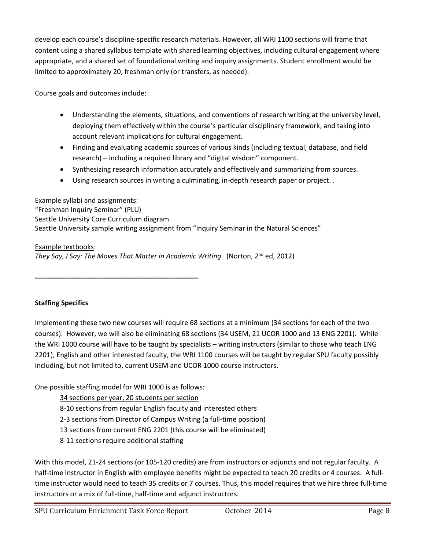develop each course's discipline-specific research materials. However, all WRI 1100 sections will frame that content using a shared syllabus template with shared learning objectives, including cultural engagement where appropriate, and a shared set of foundational writing and inquiry assignments. Student enrollment would be limited to approximately 20, freshman only (or transfers, as needed).

Course goals and outcomes include:

- Understanding the elements, situations, and conventions of research writing at the university level, deploying them effectively within the course's particular disciplinary framework, and taking into account relevant implications for cultural engagement.
- Finding and evaluating academic sources of various kinds (including textual, database, and field research) – including a required library and "digital wisdom" component.
- Synthesizing research information accurately and effectively and summarizing from sources.
- Using research sources in writing a culminating, in-depth research paper or project. .

## Example syllabi and assignments:

"Freshman Inquiry Seminar" (PLU) Seattle University Core Curriculum diagram Seattle University sample writing assignment from "Inquiry Seminar in the Natural Sciences"

Example textbooks:

*They Say, I Say: The Moves That Matter in Academic Writing* (Norton, 2nd ed, 2012)

**Staffing Specifics**

Implementing these two new courses will require 68 sections at a minimum (34 sections for each of the two courses). However, we will also be eliminating 68 sections (34 USEM, 21 UCOR 1000 and 13 ENG 2201). While the WRI 1000 course will have to be taught by specialists – writing instructors (similar to those who teach ENG 2201), English and other interested faculty, the WRI 1100 courses will be taught by regular SPU faculty possibly including, but not limited to, current USEM and UCOR 1000 course instructors.

One possible staffing model for WRI 1000 is as follows:

**\_\_\_\_\_\_\_\_\_\_\_\_\_\_\_\_\_\_\_\_\_\_\_\_\_\_\_\_\_\_\_\_\_\_\_\_\_\_\_\_\_\_\_**

34 sections per year, 20 students per section

8-10 sections from regular English faculty and interested others

2-3 sections from Director of Campus Writing (a full-time position)

13 sections from current ENG 2201 (this course will be eliminated)

8-11 sections require additional staffing

With this model, 21-24 sections (or 105-120 credits) are from instructors or adjuncts and not regular faculty. A half-time instructor in English with employee benefits might be expected to teach 20 credits or 4 courses. A fulltime instructor would need to teach 35 credits or 7 courses. Thus, this model requires that we hire three full-time instructors or a mix of full-time, half-time and adjunct instructors.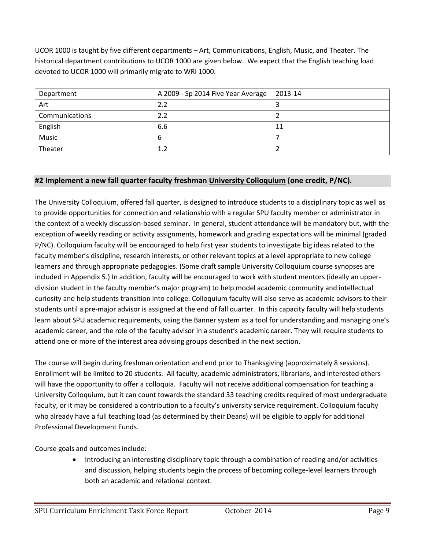UCOR 1000 is taught by five different departments – Art, Communications, English, Music, and Theater. The historical department contributions to UCOR 1000 are given below. We expect that the English teaching load devoted to UCOR 1000 will primarily migrate to WRI 1000.

| Department     | A 2009 - Sp 2014 Five Year Average | 2013-14 |
|----------------|------------------------------------|---------|
| Art            | 2.2                                |         |
| Communications | 2.2                                |         |
| English        | 6.6                                | 11      |
| Music          | 6                                  |         |
| Theater        | 1.2                                |         |

## **#2 Implement a new fall quarter faculty freshman University Colloquium (one credit, P/NC).**

The University Colloquium, offered fall quarter, is designed to introduce students to a disciplinary topic as well as to provide opportunities for connection and relationship with a regular SPU faculty member or administrator in the context of a weekly discussion-based seminar. In general, student attendance will be mandatory but, with the exception of weekly reading or activity assignments, homework and grading expectations will be minimal (graded P/NC). Colloquium faculty will be encouraged to help first year students to investigate big ideas related to the faculty member's discipline, research interests, or other relevant topics at a level appropriate to new college learners and through appropriate pedagogies. (Some draft sample University Colloquium course synopses are included in Appendix 5.) In addition, faculty will be encouraged to work with student mentors (ideally an upperdivision student in the faculty member's major program) to help model academic community and intellectual curiosity and help students transition into college. Colloquium faculty will also serve as academic advisors to their students until a pre-major advisor is assigned at the end of fall quarter. In this capacity faculty will help students learn about SPU academic requirements, using the Banner system as a tool for understanding and managing one's academic career, and the role of the faculty advisor in a student's academic career. They will require students to attend one or more of the interest area advising groups described in the next section.

The course will begin during freshman orientation and end prior to Thanksgiving (approximately 8 sessions). Enrollment will be limited to 20 students. All faculty, academic administrators, librarians, and interested others will have the opportunity to offer a colloquia. Faculty will not receive additional compensation for teaching a University Colloquium, but it can count towards the standard 33 teaching credits required of most undergraduate faculty, or it may be considered a contribution to a faculty's university service requirement. Colloquium faculty who already have a full teaching load (as determined by their Deans) will be eligible to apply for additional Professional Development Funds.

Course goals and outcomes include:

 Introducing an interesting disciplinary topic through a combination of reading and/or activities and discussion, helping students begin the process of becoming college-level learners through both an academic and relational context.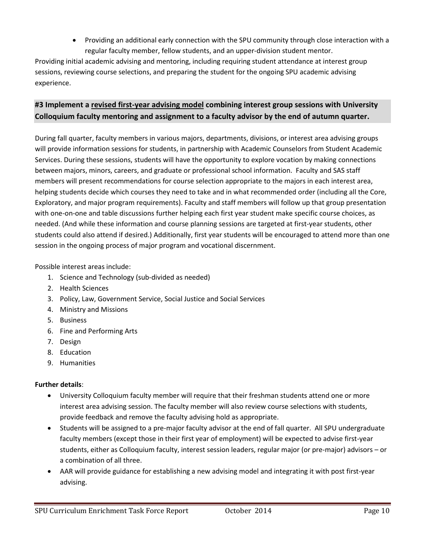Providing an additional early connection with the SPU community through close interaction with a regular faculty member, fellow students, and an upper-division student mentor.

Providing initial academic advising and mentoring, including requiring student attendance at interest group sessions, reviewing course selections, and preparing the student for the ongoing SPU academic advising experience.

## **#3 Implement a revised first-year advising model combining interest group sessions with University Colloquium faculty mentoring and assignment to a faculty advisor by the end of autumn quarter.**

During fall quarter, faculty members in various majors, departments, divisions, or interest area advising groups will provide information sessions for students, in partnership with Academic Counselors from Student Academic Services. During these sessions, students will have the opportunity to explore vocation by making connections between majors, minors, careers, and graduate or professional school information. Faculty and SAS staff members will present recommendations for course selection appropriate to the majors in each interest area, helping students decide which courses they need to take and in what recommended order (including all the Core, Exploratory, and major program requirements). Faculty and staff members will follow up that group presentation with one-on-one and table discussions further helping each first year student make specific course choices, as needed. (And while these information and course planning sessions are targeted at first-year students, other students could also attend if desired.) Additionally, first year students will be encouraged to attend more than one session in the ongoing process of major program and vocational discernment.

Possible interest areas include:

- 1. Science and Technology (sub-divided as needed)
- 2. Health Sciences
- 3. Policy, Law, Government Service, Social Justice and Social Services
- 4. Ministry and Missions
- 5. Business
- 6. Fine and Performing Arts
- 7. Design
- 8. Education
- 9. Humanities

## **Further details**:

- University Colloquium faculty member will require that their freshman students attend one or more interest area advising session. The faculty member will also review course selections with students, provide feedback and remove the faculty advising hold as appropriate.
- Students will be assigned to a pre-major faculty advisor at the end of fall quarter. All SPU undergraduate faculty members (except those in their first year of employment) will be expected to advise first-year students, either as Colloquium faculty, interest session leaders, regular major (or pre-major) advisors – or a combination of all three.
- AAR will provide guidance for establishing a new advising model and integrating it with post first-year advising.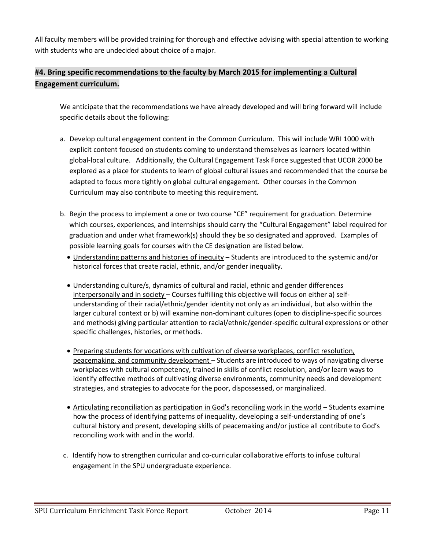All faculty members will be provided training for thorough and effective advising with special attention to working with students who are undecided about choice of a major.

# **#4. Bring specific recommendations to the faculty by March 2015 for implementing a Cultural Engagement curriculum.**

We anticipate that the recommendations we have already developed and will bring forward will include specific details about the following:

- a. Develop cultural engagement content in the Common Curriculum. This will include WRI 1000 with explicit content focused on students coming to understand themselves as learners located within global-local culture. Additionally, the Cultural Engagement Task Force suggested that UCOR 2000 be explored as a place for students to learn of global cultural issues and recommended that the course be adapted to focus more tightly on global cultural engagement. Other courses in the Common Curriculum may also contribute to meeting this requirement.
- b. Begin the process to implement a one or two course "CE" requirement for graduation. Determine which courses, experiences, and internships should carry the "Cultural Engagement" label required for graduation and under what framework(s) should they be so designated and approved. Examples of possible learning goals for courses with the CE designation are listed below.
	- Understanding patterns and histories of inequity Students are introduced to the systemic and/or historical forces that create racial, ethnic, and/or gender inequality.
	- Understanding culture/s, dynamics of cultural and racial, ethnic and gender differences interpersonally and in society – Courses fulfilling this objective will focus on either a) selfunderstanding of their racial/ethnic/gender identity not only as an individual, but also within the larger cultural context or b) will examine non-dominant cultures (open to discipline-specific sources and methods) giving particular attention to racial/ethnic/gender-specific cultural expressions or other specific challenges, histories, or methods.
	- Preparing students for vocations with cultivation of diverse workplaces, conflict resolution, peacemaking, and community development – Students are introduced to ways of navigating diverse workplaces with cultural competency, trained in skills of conflict resolution, and/or learn ways to identify effective methods of cultivating diverse environments, community needs and development strategies, and strategies to advocate for the poor, dispossessed, or marginalized.
	- Articulating reconciliation as participation in God's reconciling work in the world Students examine how the process of identifying patterns of inequality, developing a self-understanding of one's cultural history and present, developing skills of peacemaking and/or justice all contribute to God's reconciling work with and in the world.
- c. Identify how to strengthen curricular and co-curricular collaborative efforts to infuse cultural engagement in the SPU undergraduate experience.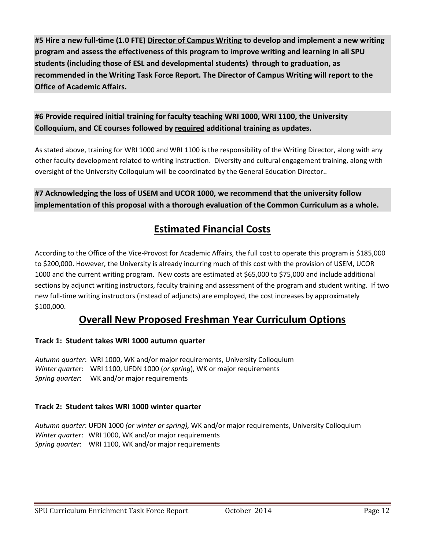**#5 Hire a new full-time (1.0 FTE) Director of Campus Writing to develop and implement a new writing program and assess the effectiveness of this program to improve writing and learning in all SPU students (including those of ESL and developmental students) through to graduation, as recommended in the Writing Task Force Report. The Director of Campus Writing will report to the Office of Academic Affairs.**

# **#6 Provide required initial training for faculty teaching WRI 1000, WRI 1100, the University Colloquium, and CE courses followed by required additional training as updates.**

As stated above, training for WRI 1000 and WRI 1100 is the responsibility of the Writing Director, along with any other faculty development related to writing instruction. Diversity and cultural engagement training, along with oversight of the University Colloquium will be coordinated by the General Education Director..

**#7 Acknowledging the loss of USEM and UCOR 1000, we recommend that the university follow implementation of this proposal with a thorough evaluation of the Common Curriculum as a whole.** 

# **Estimated Financial Costs**

According to the Office of the Vice-Provost for Academic Affairs, the full cost to operate this program is \$185,000 to \$200,000. However, the University is already incurring much of this cost with the provision of USEM, UCOR 1000 and the current writing program. New costs are estimated at \$65,000 to \$75,000 and include additional sections by adjunct writing instructors, faculty training and assessment of the program and student writing. If two new full-time writing instructors (instead of adjuncts) are employed, the cost increases by approximately \$100,000.

# **Overall New Proposed Freshman Year Curriculum Options**

## **Track 1: Student takes WRI 1000 autumn quarter**

*Autumn quarter*: WRI 1000, WK and/or major requirements, University Colloquium *Winter quarter*: WRI 1100, UFDN 1000 (*or spring*), WK or major requirements *Spring quarter*: WK and/or major requirements

## **Track 2: Student takes WRI 1000 winter quarter**

*Autumn quarter*: UFDN 1000 *(or winter or spring),* WK and/or major requirements, University Colloquium *Winter quarter*: WRI 1000, WK and/or major requirements *Spring quarter*: WRI 1100, WK and/or major requirements